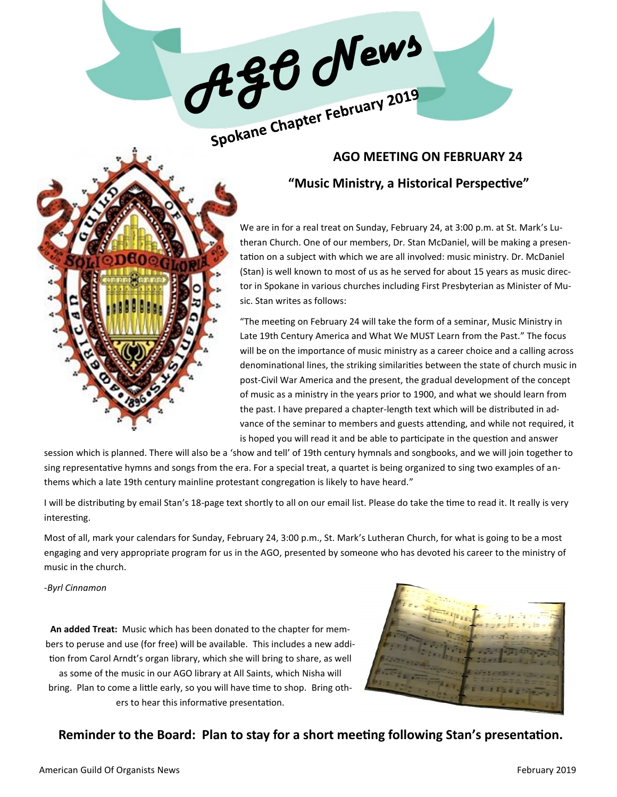

# **"Music Ministry, a Historical Perspective"**

We are in for a real treat on Sunday, February 24, at 3:00 p.m. at St. Mark's Lutheran Church. One of our members, Dr. Stan McDaniel, will be making a presentation on a subject with which we are all involved: music ministry. Dr. McDaniel (Stan) is well known to most of us as he served for about 15 years as music director in Spokane in various churches including First Presbyterian as Minister of Music. Stan writes as follows:

"The meeting on February 24 will take the form of a seminar, Music Ministry in Late 19th Century America and What We MUST Learn from the Past." The focus will be on the importance of music ministry as a career choice and a calling across denominational lines, the striking similarities between the state of church music in post-Civil War America and the present, the gradual development of the concept of music as a ministry in the years prior to 1900, and what we should learn from the past. I have prepared a chapter-length text which will be distributed in advance of the seminar to members and guests attending, and while not required, it is hoped you will read it and be able to participate in the question and answer

session which is planned. There will also be a 'show and tell' of 19th century hymnals and songbooks, and we will join together to sing representative hymns and songs from the era. For a special treat, a quartet is being organized to sing two examples of anthems which a late 19th century mainline protestant congregation is likely to have heard."

I will be distributing by email Stan's 18-page text shortly to all on our email list. Please do take the time to read it. It really is very interesting.

Most of all, mark your calendars for Sunday, February 24, 3:00 p.m., St. Mark's Lutheran Church, for what is going to be a most engaging and very appropriate program for us in the AGO, presented by someone who has devoted his career to the ministry of music in the church.

*-Byrl Cinnamon*

**An added Treat:** Music which has been donated to the chapter for members to peruse and use (for free) will be available. This includes a new addition from Carol Arndt's organ library, which she will bring to share, as well as some of the music in our AGO library at All Saints, which Nisha will bring. Plan to come a little early, so you will have time to shop. Bring others to hear this informative presentation.



## **Reminder to the Board: Plan to stay for a short meeting following Stan's presentation.**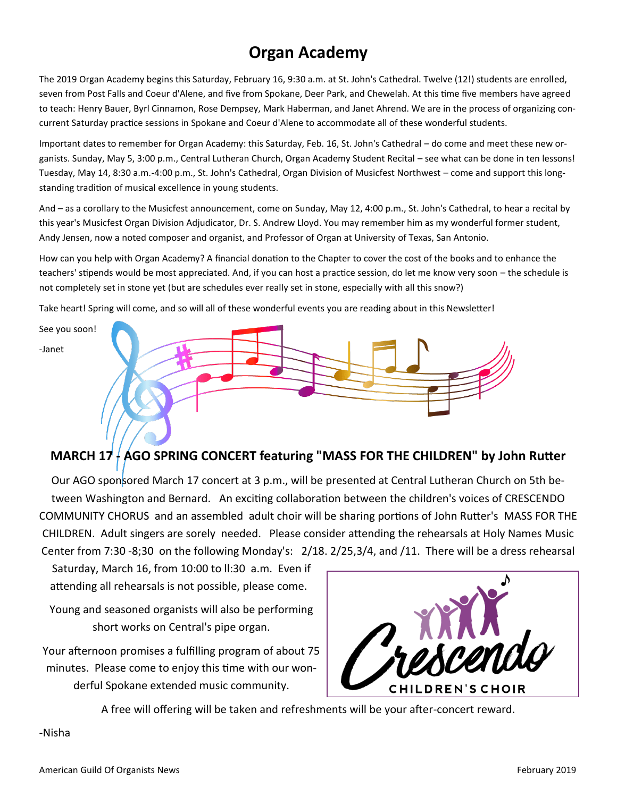# **Organ Academy**

The 2019 Organ Academy begins this Saturday, February 16, 9:30 a.m. at St. John's Cathedral. Twelve (12!) students are enrolled, seven from Post Falls and Coeur d'Alene, and five from Spokane, Deer Park, and Chewelah. At this time five members have agreed to teach: Henry Bauer, Byrl Cinnamon, Rose Dempsey, Mark Haberman, and Janet Ahrend. We are in the process of organizing concurrent Saturday practice sessions in Spokane and Coeur d'Alene to accommodate all of these wonderful students.

Important dates to remember for Organ Academy: this Saturday, Feb. 16, St. John's Cathedral – do come and meet these new organists. Sunday, May 5, 3:00 p.m., Central Lutheran Church, Organ Academy Student Recital – see what can be done in ten lessons! Tuesday, May 14, 8:30 a.m.-4:00 p.m., St. John's Cathedral, Organ Division of Musicfest Northwest – come and support this longstanding tradition of musical excellence in young students.

And – as a corollary to the Musicfest announcement, come on Sunday, May 12, 4:00 p.m., St. John's Cathedral, to hear a recital by this year's Musicfest Organ Division Adjudicator, Dr. S. Andrew Lloyd. You may remember him as my wonderful former student, Andy Jensen, now a noted composer and organist, and Professor of Organ at University of Texas, San Antonio.

How can you help with Organ Academy? A financial donation to the Chapter to cover the cost of the books and to enhance the teachers' stipends would be most appreciated. And, if you can host a practice session, do let me know very soon – the schedule is not completely set in stone yet (but are schedules ever really set in stone, especially with all this snow?)

Take heart! Spring will come, and so will all of these wonderful events you are reading about in this Newsletter!



# **MARCH 17 - AGO SPRING CONCERT featuring "MASS FOR THE CHILDREN" by John Rutter**

Our AGO sponsored March 17 concert at 3 p.m., will be presented at Central Lutheran Church on 5th between Washington and Bernard. An exciting collaboration between the children's voices of CRESCENDO COMMUNITY CHORUS and an assembled adult choir will be sharing portions of John Rutter's MASS FOR THE CHILDREN. Adult singers are sorely needed. Please consider attending the rehearsals at Holy Names Music Center from 7:30 -8;30 on the following Monday's: 2/18. 2/25,3/4, and /11. There will be a dress rehearsal

Saturday, March 16, from 10:00 to ll:30 a.m. Even if attending all rehearsals is not possible, please come.

Young and seasoned organists will also be performing short works on Central's pipe organ.

Your afternoon promises a fulfilling program of about 75 minutes. Please come to enjoy this time with our wonderful Spokane extended music community.



A free will offering will be taken and refreshments will be your after-concert reward.

-Nisha